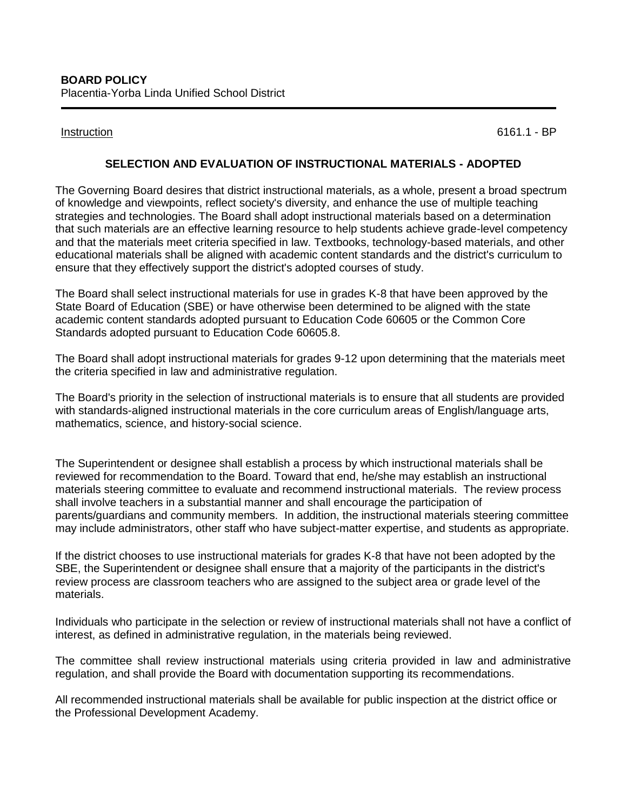Instruction 6161.1 - BP

## **SELECTION AND EVALUATION OF INSTRUCTIONAL MATERIALS - ADOPTED**

The Governing Board desires that district instructional materials, as a whole, present a broad spectrum of knowledge and viewpoints, reflect society's diversity, and enhance the use of multiple teaching strategies and technologies. The Board shall adopt instructional materials based on a determination that such materials are an effective learning resource to help students achieve grade-level competency and that the materials meet criteria specified in law. Textbooks, technology-based materials, and other educational materials shall be aligned with academic content standards and the district's curriculum to ensure that they effectively support the district's adopted courses of study.

The Board shall select instructional materials for use in grades K-8 that have been approved by the State Board of Education (SBE) or have otherwise been determined to be aligned with the state academic content standards adopted pursuant to Education Code [60605](http://gamutonline.net/displayPolicy/226483/6) or the Common Core Standards adopted pursuant to Education Code [60605.8.](http://gamutonline.net/displayPolicy/622234/6)

The Board shall adopt instructional materials for grades 9-12 upon determining that the materials meet the criteria specified in law and administrative regulation.

The Board's priority in the selection of instructional materials is to ensure that all students are provided with standards-aligned instructional materials in the core curriculum areas of English/language arts, mathematics, science, and history-social science.

The Superintendent or designee shall establish a process by which instructional materials shall be reviewed for recommendation to the Board. Toward that end, he/she may establish an instructional materials steering committee to evaluate and recommend instructional materials. The review process shall involve teachers in a substantial manner and shall encourage the participation of parents/guardians and community members. In addition, the instructional materials steering committee may include administrators, other staff who have subject-matter expertise, and students as appropriate.

If the district chooses to use instructional materials for grades K-8 that have not been adopted by the SBE, the Superintendent or designee shall ensure that a majority of the participants in the district's review process are classroom teachers who are assigned to the subject area or grade level of the materials.

Individuals who participate in the selection or review of instructional materials shall not have a conflict of interest, as defined in administrative regulation, in the materials being reviewed.

The committee shall review instructional materials using criteria provided in law and administrative regulation, and shall provide the Board with documentation supporting its recommendations.

All recommended instructional materials shall be available for public inspection at the district office or the Professional Development Academy.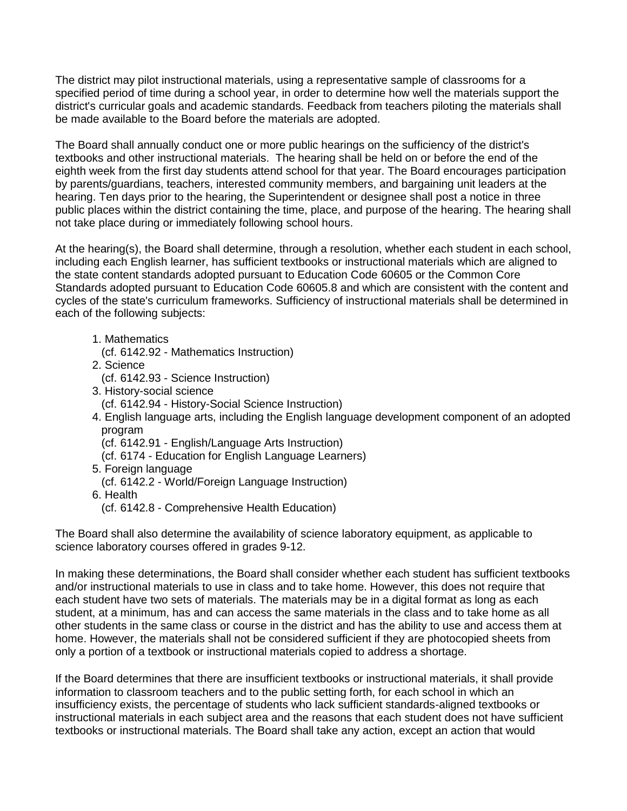The district may pilot instructional materials, using a representative sample of classrooms for a specified period of time during a school year, in order to determine how well the materials support the district's curricular goals and academic standards. Feedback from teachers piloting the materials shall be made available to the Board before the materials are adopted.

The Board shall annually conduct one or more public hearings on the sufficiency of the district's textbooks and other instructional materials. The hearing shall be held on or before the end of the eighth week from the first day students attend school for that year. The Board encourages participation by parents/guardians, teachers, interested community members, and bargaining unit leaders at the hearing. Ten days prior to the hearing, the Superintendent or designee shall post a notice in three public places within the district containing the time, place, and purpose of the hearing. The hearing shall not take place during or immediately following school hours.

At the hearing(s), the Board shall determine, through a resolution, whether each student in each school, including each English learner, has sufficient textbooks or instructional materials which are aligned to the state content standards adopted pursuant to Education Code [60605](http://gamutonline.net/displayPolicy/226483/6) or the Common Core Standards adopted pursuant to Education Code [60605.8](http://gamutonline.net/displayPolicy/622234/6) and which are consistent with the content and cycles of the state's curriculum frameworks. Sufficiency of instructional materials shall be determined in each of the following subjects:

- 1. Mathematics
- (cf. [6142.92](http://gamutonline.net/displayPolicy/909492/6) Mathematics Instruction)
- 2. Science
- (cf. [6142.93](http://gamutonline.net/displayPolicy/170981/6) Science Instruction)
- 3. History-social science
- (cf. [6142.94](http://gamutonline.net/displayPolicy/573852/6) History-Social Science Instruction)
- 4. English language arts, including the English language development component of an adopted program
	- (cf. [6142.91](http://gamutonline.net/displayPolicy/171735/6) English/Language Arts Instruction)
	- (cf. [6174](http://gamutonline.net/displayPolicy/288783/6) Education for English Language Learners)
- 5. Foreign language
- (cf. [6142.2](http://gamutonline.net/displayPolicy/559079/6) World/Foreign Language Instruction)
- 6. Health
- (cf. [6142.8](http://gamutonline.net/displayPolicy/292825/6) Comprehensive Health Education)

The Board shall also determine the availability of science laboratory equipment, as applicable to science laboratory courses offered in grades 9-12.

In making these determinations, the Board shall consider whether each student has sufficient textbooks and/or instructional materials to use in class and to take home. However, this does not require that each student have two sets of materials. The materials may be in a digital format as long as each student, at a minimum, has and can access the same materials in the class and to take home as all other students in the same class or course in the district and has the ability to use and access them at home. However, the materials shall not be considered sufficient if they are photocopied sheets from only a portion of a textbook or instructional materials copied to address a shortage.

If the Board determines that there are insufficient textbooks or instructional materials, it shall provide information to classroom teachers and to the public setting forth, for each school in which an insufficiency exists, the percentage of students who lack sufficient standards-aligned textbooks or instructional materials in each subject area and the reasons that each student does not have sufficient textbooks or instructional materials. The Board shall take any action, except an action that would